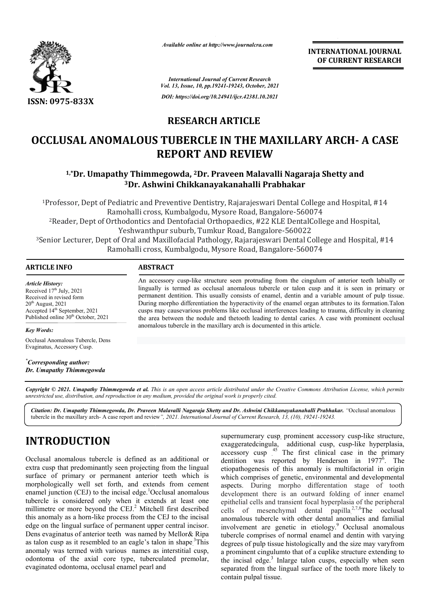

*Available online at http://www.journalcra.com*

**INTERNATIONAL JOURNAL OF CURRENT RESEARCH**

*International Journal of Current Research Vol. 13, Issue, 10, pp.19241-19243, October, 2021 DOI: https://doi.org/10.24941/ijcr.42381.10.2021*

## **RESEARCH ARTICLE**

# **OCCLUSAL ANOMALOUS TUBERCLE IN THE MAXILLARY ARCH- A CASE REPORT AND REVIEW**

### <sup>1,\*</sup>Dr. Umapathy Thimmegowda, <sup>2</sup>Dr. Praveen Malavalli Nagaraja Shetty and **3Dr. Ashwini Chikkanayakanahalli Prabhakar Dr.**

1Professor, Dept of Pediatric and Preventive Dentistry, Rajarajeswari Dental College and Hospital, #14 Professor, Bangalore-560074 Ramohalli cross, Kumbalgodu, Mysore Road, Bangalore 2Reader, Dept of Orthodontics and Dentofacial Orthopaedics, #22 KLE DentalCollege and Hospital, Reader, Bangalore-560022 Yeshwanthpur suburb, Tumkur Road, Bangalore <sup>1</sup>Professor, Dept of Pediatric and Preventive Dentistry, Rajarajeswari Dental College and Hospital, #14<br>
Ramohalli cross, Kumbalgodu, Mysore Road, Bangalore-560074<br>
<sup>2</sup>Reader, Dept of Orthodontics and Dentofacial Orthopae Ramohalli cross, Kumbalgodu, Mysore Road, Bangalore

### **ARTICLE INFO ABSTRACT**

*Article History: Article History:* Received  $17<sup>th</sup>$  July, 2021 Received in revised form<br>20<sup>th</sup> August, 2021  $20<sup>th</sup>$  August,  $2021$ Accepted 14<sup>th</sup> September, 2021 Published online 30<sup>th</sup> October, 2021

An accessory cusp cusp-like structure seen protruding from the cingulum of anterior teeth labially or An accessory cusp-like structure seen protruding from the cingulum of anterior teeth labially or lingually is termed as occlusal anomalous tubercle or talon cusp and it is seen in primary or permanent dentition. This usually consists of enamel, dentin and a variable amount of pulp tissue. permanent dentition. This usually consists of enamel, dentin and a variable amount of pulp tissue.<br>During morpho differentiation the hyperactivity of the enamel organ attributes to its formation.Talon cusps may causevarious problems like occlusal interferences leading to trauma, difficulty in cleaning the area between the nodule and thetooth leading to dental caries. A case with prominent occlusal anomalous tubercle in the maxillary arch is documented in this article. anomalous tubercle in the maxillary arch is documented in this article.

*Key Words:*

Occlusal Anomalous Tubercle, Dens Evaginatus, Accessory Cusp.

*\* Corresponding author: Dr. Umapathy Thimmegowda*

Copyright © 2021. Umapathy Thimmegowda et al. This is an open access article distributed under the Creative Commons Attribution License, which permits *unrestricted use, distribution, and reproduction in any medium, provided the original work is properly cited.*

Citation: Dr. Umapathy Thimmegowda, Dr. Praveen Malavalli Nagaraja Shetty and Dr. Ashwini Chikkanayakanahalli Prabhakar. "Occlusal anomalous tubercle in the maxillary arch- A case report and review *", 2021. International Journal of Current Research, 13, (10), 19241 19241-19243.*

# **INTRODUCTION**

Occlusal anomalous tubercle is defined as an additional or extra cusp that predominantly seen projecting from the lingual surface of primary or permanent anterior teeth which is morphologically well set forth, and extends from cement enamel junction (CEJ) to the incisal edge.<sup>1</sup>Occlusal anomalous tubercle is considered only when it extends at least one millimetre or more beyond the CEJ.<sup>2</sup> Mitchell first described this anomaly as a horn-like process from the CEJ to the incisal edge on the lingual surface of permanent upper central incisor. Dens evaginatus of anterior teeth was named by Mellor& Ripa as talon cusp as it resembled to an eagle's talon in shape.<sup>3</sup>This anomaly was termed with various names as interstitial cusp, odontoma of the axial core type, tuberculated premolar, evaginated odontoma, occlusal enamel pearl and

supernumerary cusp, prominent accessory cusp-like structure, exaggeratedcingula, additional cusp, cusp accessory cusp<sup>45</sup> The first clinical case in the primary dentition was reported by Henderson in 1977 . The etiopathogenesis of this anomaly is multifactorial in origin etiopathogenesis of this anomaly is multifactorial in origin<br>which comprises of genetic, environmental and developmental aspects. During morpho differentation stage of tooth development there is an outward folding of inner enamel epithelial cells and transient focal hyperplasia of the peripheral development there is an outward folding of inner enamel<br>epithelial cells and transient focal hyperplasia of the peripheral<br>cells of mesenchymal dental papilla.<sup>2,7,8</sup>The occlusal anomalous tubercle with other dental anomalies and familial involvement are genetic in etiology.<sup>9</sup> Occlusal anomalous tubercle comprises of normal enamel and dentin with varying tubercle comprises of normal enamel and dentin with varying<br>degrees of pulp tissue histologically and the size may varyfrom a prominent cingulumto that of a cuplike structure extending to the incisal edge.<sup>3</sup> Inlarge talon cusps, especially when seen separated from the lingual surface of the tooth more likely to contain pulpal tissue. aggeratedcingula, additional cusp, cusp-like hyperplasia, clinical case in the p<br>Henderson in  $1977^6$ **EXECUTE THE SET (SET ASSEMBALL OF CURRENT RESEARCH CHEMIT OF CURRENT RESEARCH (For the test of the set of the set of the set of the set of the set of the set of the set of the set of the set of the set of the set of the**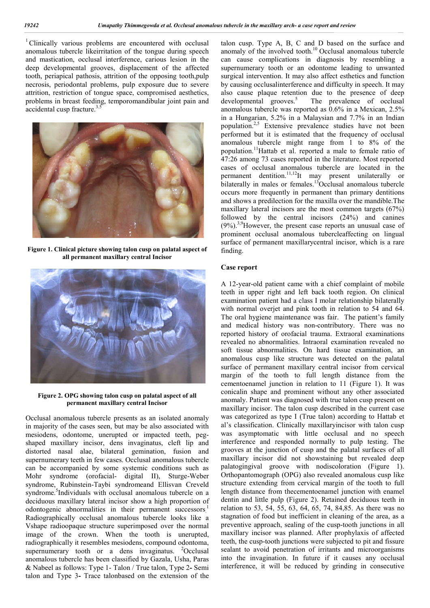<sup>1</sup> Clinically various problems are encountered with occlusal anomalous tubercle likeirritation of the tongue during speech and mastication, occlusal interference, carious lesion in the deep developmental grooves, displacement of the affected tooth, periapical pathosis, attrition of the opposing tooth,pulp necrosis, periodontal problems, pulp exposure due to severe attrition, restriction of tongue space, compromised aesthetics, problems in breast feeding, temporomandibular joint pain and accidental cusp fracture.<sup>3.5</sup>



**Figure 1. Clinical picture showing talon cusp on palatal aspect of all permanent maxillary central Incisor**



#### **Figure 2. OPG showing talon cusp on palatal aspect of all permanent maxillary central Incisor**

Occlusal anomalous tubercle presents as an isolated anomaly in majority of the cases seen, but may be also associated with mesiodens, odontome, unerupted or impacted teeth, pegshaped maxillary incisor, dens invaginatus, cleft lip and distorted nasal alae, bilateral gemination, fusion and supernumerary teeth in few cases. Occlusal anomalous tubercle can be accompanied by some systemic conditions such as Mohr syndrome (orofacial- digital II), Sturge-Weber syndrome, Rubinstein-Taybi syndromeand Ellisvan Creveld syndrome.<sup>5</sup>Individuals with occlusal anomalous tubercle on a deciduous maxillary lateral incisor show a high proportion of odontogenic abnormalities in their permanent successors.<sup>1</sup> Radiographically occlusal anomalous tubercle looks like a Vshape radioopaque structure superimposed over the normal image of the crown. When the tooth is unerupted, radiographically it resembles mesiodens, compound odontoma, supernumerary tooth or a dens invaginatus.  $2$ Occlusal anomalous tubercle has been classified by Gazala, Usha, Paras & Nabeel as follows: Type 1- Talon / True talon, Type 2**-** Semi talon and Type 3**-** Trace talonbased on the extension of the

talon cusp. Type A, B, C and D based on the surface and anomaly of the involved tooth.<sup>10</sup> Occlusal anomalous tubercle can cause complications in diagnosis by resembling a supernumerary tooth or an odontome leading to unwanted surgical intervention. It may also affect esthetics and function by causing occlusalinterference and difficulty in speech. It may also cause plaque retention due to the presence of deep  $\frac{1}{2}$  developmental grooves.<sup>5</sup> The prevalence of occlusal anomalous tubercle was reported as 0.6% in a Mexican, 2.5% in a Hungarian, 5.2% in a Malaysian and 7.7% in an Indian population.<sup>2,5</sup> Extensive prevalence studies have not been performed but it is estimated that the frequency of occlusal anomalous tubercle might range from 1 to 8% of the population.11Hattab et al. reported a male to female ratio of 47:26 among 73 cases reported in the literature. Most reported cases of occlusal anomalous tubercle are located in the permanent dentition.<sup>11,12</sup>It may present unilaterally or bilaterally in males or females.<sup>13</sup>Occlusal anomalous tubercle occurs more frequently in permanent than primary dentitions and shows a predilection for the maxilla over the mandible.The maxillary lateral incisors are the most common targets (67%) followed by the central incisors (24%) and canines  $(9\%)$ <sup>3,9</sup>However, the present case reports an unusual case of prominent occlusal anomalous tubercleaffecting on lingual surface of permanent maxillarycentral incisor, which is a rare finding.

### **Case report**

A 12-year-old patient came with a chief complaint of mobile teeth in upper right and left back tooth region. On clinical examination patient had a class I molar relationship bilaterally with normal overjet and pink tooth in relation to 54 and 64. The oral hygiene maintenance was fair. The patient's family and medical history was non-contributory. There was no reported history of orofacial trauma. Extraoral examinations revealed no abnormalities. Intraoral examination revealed no soft tissue abnormalities. On hard tissue examination, an anomalous cusp like structure was detected on the palatal surface of permanent maxillary central incisor from cervical margin of the tooth to full length distance from the cementoenamel junction in relation to 11 (Figure 1). It was conicalin shape and prominent without any other associated anomaly. Patient was diagnosed with true talon cusp present on maxillary incisor. The talon cusp described in the current case was categorized as type I (True talon) according to Hattab et al's classification. Clinically maxillaryincisor with talon cusp was asymptomatic with little occlusal and no speech interference and responded normally to pulp testing. The grooves at the junction of cusp and the palatal surfaces of all maxillary incisor did not showstaining but revealed deep palatogingival groove with nodiscoloration (Figure 1). Orthopantomograph (OPG) also revealed anomalous cusp like structure extending from cervical margin of the tooth to full length distance from thecementoenamel junction with enamel dentin and little pulp (Figure 2). Retained deciduous teeth in relation to 53, 54, 55, 63, 64, 65, 74, 84,85. As there was no stagnation of food but inefficient in cleaning of the area, as a preventive approach, sealing of the cusp-tooth junctions in all maxillary incisor was planned. After prophylaxis of affected teeth, the cusp-tooth junctions were subjected to pit and fissure sealant to avoid penetration of irritants and microorganisms into the invagination. In future if it causes any occlusal interference, it will be reduced by grinding in consecutive